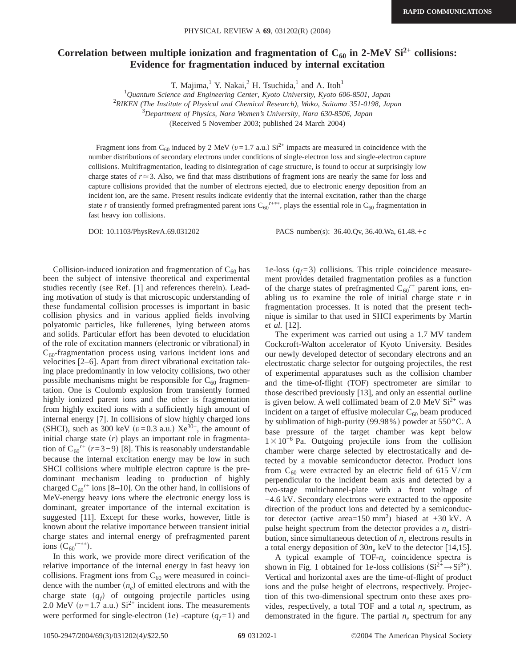## Correlation between multiple ionization and fragmentation of  $C_{60}$  in 2-MeV Si<sup>2+</sup> collisions: **Evidence for fragmentation induced by internal excitation**

T. Majima, $1$  Y. Nakai, $2$  H. Tsuchida, $1$  and A. Itoh<sup>1</sup>

1 *Quantum Science and Engineering Center, Kyoto University, Kyoto 606-8501, Japan*

2 *RIKEN (The Institute of Physical and Chemical Research), Wako, Saitama 351-0198, Japan*

3 *Department of Physics, Nara Women's University, Nara 630-8506, Japan*

(Received 5 November 2003; published 24 March 2004)

Fragment ions from C<sub>60</sub> induced by 2 MeV ( $v=1.7$  a.u.) Si<sup>2+</sup> impacts are measured in coincidence with the number distributions of secondary electrons under conditions of single-electron loss and single-electron capture collisions. Multifragmentation, leading to disintegration of cage structure, is found to occur at surprisingly low charge states of  $r \approx 3$ . Also, we find that mass distributions of fragment ions are nearly the same for loss and capture collisions provided that the number of electrons ejected, due to electronic energy deposition from an incident ion, are the same. Present results indicate evidently that the internal excitation, rather than the charge state *r* of transiently formed prefragmented parent ions  $C_{60}^{r+**}$ , plays the essential role in  $C_{60}$  fragmentation in fast heavy ion collisions.

DOI: 10.1103/PhysRevA.69.031202 PACS number(s): 36.40.Qv, 36.40.Wa, 61.48.+c

Collision-induced ionization and fragmentation of  $C_{60}$  has been the subject of intensive theoretical and experimental studies recently (see Ref. [1] and references therein). Leading motivation of study is that microscopic understanding of these fundamental collision processes is important in basic collision physics and in various applied fields involving polyatomic particles, like fullerenes, lying between atoms and solids. Particular effort has been devoted to elucidation of the role of excitation manners (electronic or vibrational) in  $C_{60}$ -fragmentation process using various incident ions and velocities [2–6]. Apart from direct vibrational excitation taking place predominantly in low velocity collisions, two other possible mechanisms might be responsible for  $C_{60}$  fragmentation. One is Coulomb explosion from transiently formed highly ionized parent ions and the other is fragmentation from highly excited ions with a sufficiently high amount of internal energy [7]. In collisions of slow highly charged ions (SHCI), such as 300 keV  $(v=0.3 \text{ a.u.})$  Xe<sup>30+</sup>, the amount of initial charge state  $(r)$  plays an important role in fragmentation of  $C_{60}^{r+}$  ( $r=3-9$ ) [8]. This is reasonably understandable because the internal excitation energy may be low in such SHCI collisions where multiple electron capture is the predominant mechanism leading to production of highly charged  $C_{60}^{r+}$  ions [8–10]. On the other hand, in collisions of MeV-energy heavy ions where the electronic energy loss is dominant, greater importance of the internal excitation is suggested [11]. Except for these works, however, little is known about the relative importance between transient initial charge states and internal energy of prefragmented parent ions  $(C_{60}^{r+**})$ .

In this work, we provide more direct verification of the relative importance of the internal energy in fast heavy ion collisions. Fragment ions from  $C_{60}$  were measured in coincidence with the number  $(n_e)$  of emitted electrons and with the charge state  $(q_f)$  of outgoing projectile particles using 2.0 MeV  $(v=1.7 \text{ a.u.})$  Si<sup>2+</sup> incident ions. The measurements were performed for single-electron  $(1e)$  -capture  $(q_f=1)$  and 1e-loss  $(q_f=3)$  collisions. This triple coincidence measurement provides detailed fragmentation profiles as a function of the charge states of prefragmented  $\hat{C}_{60}^{r+}$  parent ions, enabling us to examine the role of initial charge state *r* in fragmentation processes. It is noted that the present technique is similar to that used in SHCI experiments by Martin *et al.* [12].

The experiment was carried out using a 1.7 MV tandem Cockcroft-Walton accelerator of Kyoto University. Besides our newly developed detector of secondary electrons and an electrostatic charge selector for outgoing projectiles, the rest of experimental apparatuses such as the collision chamber and the time-of-flight (TOF) spectrometer are similar to those described previously [13], and only an essential outline is given below. A well collimated beam of 2.0 MeV  $Si<sup>2+</sup>$  was incident on a target of effusive molecular  $C_{60}$  beam produced by sublimation of high-purity (99.98%) powder at  $550^{\circ}$ C. A base pressure of the target chamber was kept below  $1 \times 10^{-6}$  Pa. Outgoing projectile ions from the collision chamber were charge selected by electrostatically and detected by a movable semiconductor detector. Product ions from  $C_{60}$  were extracted by an electric field of 615 V/cm perpendicular to the incident beam axis and detected by a two-stage multichannel-plate with a front voltage of −4.6 kV. Secondary electrons were extracted to the opposite direction of the product ions and detected by a semiconductor detector (active area= $150 \text{ mm}^2$ ) biased at +30 kV. A pulse height spectrum from the detector provides a *ne* distribution, since simultaneous detection of  $n_e$  electrons results in a total energy deposition of  $30n_e$  keV to the detector [14,15].

A typical example of TOF- $n_e$  coincidence spectra is shown in Fig. 1 obtained for 1*e*-loss collisions  $(Si^{2+} \rightarrow Si^{3+})$ . Vertical and horizontal axes are the time-of-flight of product ions and the pulse height of electrons, respectively. Projection of this two-dimensional spectrum onto these axes provides, respectively, a total TOF and a total  $n_e$  spectrum, as demonstrated in the figure. The partial *ne* spectrum for any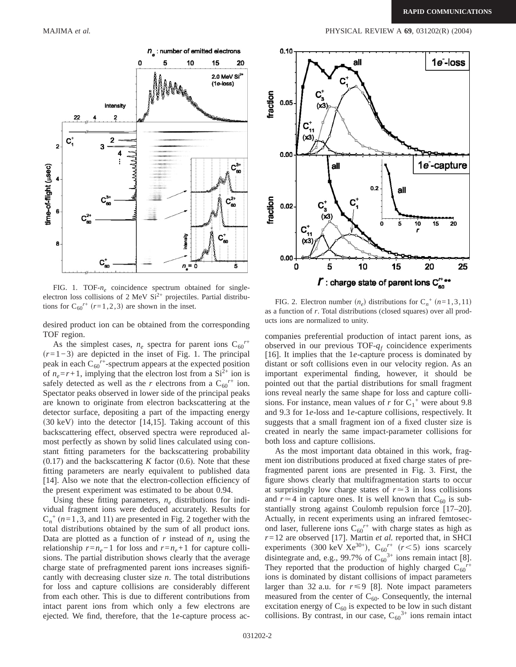

FIG. 1. TOF- $n_e$  coincidence spectrum obtained for singleelectron loss collisions of 2 MeV  $Si^{2+}$  projectiles. Partial distributions for C<sub>60</sub><sup> $r+$ </sup> ( $r=1,2,3$ ) are shown in the inset.

desired product ion can be obtained from the corresponding TOF region.

As the simplest cases,  $n_e$  spectra for parent ions  $C_{60}^{r+}$ *(r*=1−3) are depicted in the inset of Fig. 1. The principal peak in each C<sub>60</sub><sup>r+</sup>-spectrum appears at the expected position of  $n_e = r + 1$ , implying that the electron lost from a  $Si^{2+}$  ion is safely detected as well as the *r* electrons from a  $C_{60}^{r+}$  ion. Spectator peaks observed in lower side of the principal peaks are known to originate from electron backscattering at the detector surface, depositing a part of the impacting energy  $(30 \text{ keV})$  into the detector [14,15]. Taking account of this backscattering effect, observed spectra were reproduced almost perfectly as shown by solid lines calculated using constant fitting parameters for the backscattering probability (0.17) and the backscattering *K* factor (0.6). Note that these fitting parameters are nearly equivalent to published data [14]. Also we note that the electron-collection efficiency of the present experiment was estimated to be about 0.94.

Using these fitting parameters,  $n_e$  distributions for individual fragment ions were deduced accurately. Results for  $C_n^+$  ( $n=1,3$ , and 11) are presented in Fig. 2 together with the total distributions obtained by the sum of all product ions. Data are plotted as a function of  $r$  instead of  $n_e$  using the relationship  $r = n_e - 1$  for loss and  $r = n_e + 1$  for capture collisions. The partial distribution shows clearly that the average charge state of prefragmented parent ions increases significantly with decreasing cluster size *n*. The total distributions for loss and capture collisions are considerably different from each other. This is due to different contributions from intact parent ions from which only a few electrons are ejected. We find, therefore, that the 1*e*-capture process ac-



FIG. 2. Electron number  $(n_e)$  distributions for  $C_n^+$   $(n=1,3,11)$ as a function of *r*. Total distributions (closed squares) over all products ions are normalized to unity.

companies preferential production of intact parent ions, as observed in our previous TOF-*qf* coincidence experiments [16]. It implies that the 1*e*-capture process is dominated by distant or soft collisions even in our velocity region. As an important experimental finding, however, it should be pointed out that the partial distributions for small fragment ions reveal nearly the same shape for loss and capture collisions. For instance, mean values of  $r$  for  $C_1^+$  were about 9.8 and 9.3 for 1*e*-loss and 1*e*-capture collisions, respectively. It suggests that a small fragment ion of a fixed cluster size is created in nearly the same impact-parameter collisions for both loss and capture collisions.

As the most important data obtained in this work, fragment ion distributions produced at fixed charge states of prefragmented parent ions are presented in Fig. 3. First, the figure shows clearly that multifragmentation starts to occur at surprisingly low charge states of  $r \approx 3$  in loss collisions and  $r \approx 4$  in capture ones. It is well known that C<sub>60</sub> is substantially strong against Coulomb repulsion force [17–20]. Actually, in recent experiments using an infrared femtosecond laser, fullerene ions  $C_{60}^{r+}$  with charge states as high as *r*=12 are observed [17]. Martin *et al.* reported that, in SHCI experiments (300 keV Xe<sup>30+</sup>),  $C_{60}^{r+}$  ( $r$  < 5) ions scarcely disintegrate and, e.g., 99.7% of  $C_{60}^{3+}$  ions remain intact [8]. They reported that the production of highly charged  $C_{60}^{\prime\prime}$ ions is dominated by distant collisions of impact parameters larger than 32 a.u. for  $r \le 9$  [8]. Note impact parameters measured from the center of  $C_{60}$ . Consequently, the internal excitation energy of  $C_{60}$  is expected to be low in such distant collisions. By contrast, in our case,  $C_{60}^{3+}$  ions remain intact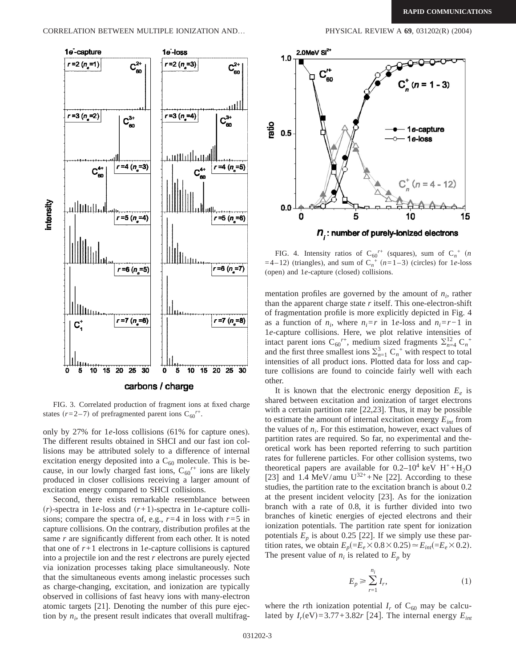

FIG. 3. Correlated production of fragment ions at fixed charge states  $(r=2-7)$  of prefragmented parent ions  $C_{60}^{r+}$ .

only by 27% for 1*e*-loss collisions (61% for capture ones). The different results obtained in SHCI and our fast ion collisions may be attributed solely to a difference of internal excitation energy deposited into a  $C_{60}$  molecule. This is because, in our lowly charged fast ions,  $C_{60}^{r+}$  ions are likely produced in closer collisions receiving a larger amount of excitation energy compared to SHCI collisions.

Second, there exists remarkable resemblance between  $(r)$ -spectra in 1*e*-loss and  $(r+1)$ -spectra in 1*e*-capture collisions; compare the spectra of, e.g.,  $r=4$  in loss with  $r=5$  in capture collisions. On the contrary, distribution profiles at the same *r* are significantly different from each other. It is noted that one of  $r+1$  electrons in 1*e*-capture collisions is captured into a projectile ion and the rest *r* electrons are purely ejected via ionization processes taking place simultaneously. Note that the simultaneous events among inelastic processes such as charge-changing, excitation, and ionization are typically observed in collisions of fast heavy ions with many-electron atomic targets [21]. Denoting the number of this pure ejection by  $n_i$ , the present result indicates that overall multifrag-



FIG. 4. Intensity ratios of  $C_{60}^{r+}$  (squares), sum of  $C_n^+$  (*n*  $=4-12$ ) (triangles), and sum of  $C_n^+$  ( $n=1-3$ ) (circles) for 1*e*-loss (open) and 1*e*-capture (closed) collisions.

mentation profiles are governed by the amount of  $n_i$ , rather than the apparent charge state  $r$  itself. This one-electron-shift of fragmentation profile is more explicitly depicted in Fig. 4 as a function of  $n_i$ , where  $n_i = r$  in 1*e*-loss and  $n_i = r - 1$  in 1*e*-capture collisions. Here, we plot relative intensities of intact parent ions  $C_{60}^{r+}$ , medium sized fragments  $\sum_{n=4}^{12} C_n^+$ and the first three smallest ions  $\sum_{n=1}^{3} C_n^+$  with respect to total intensities of all product ions. Plotted data for loss and capture collisions are found to coincide fairly well with each other.

It is known that the electronic energy deposition  $E_e$  is shared between excitation and ionization of target electrons with a certain partition rate [22,23]. Thus, it may be possible to estimate the amount of internal excitation energy  $E_{int}$  from the values of  $n_i$ . For this estimation, however, exact values of partition rates are required. So far, no experimental and theoretical work has been reported referring to such partition rates for fullerene particles. For other collision systems, two theoretical papers are available for  $0.2-10^4$  keV  $H^+ + H_2O$ [23] and 1.4 MeV/amu  $U^{32+} + Ne$  [22]. According to these studies, the partition rate to the excitation branch is about 0.2 at the present incident velocity [23]. As for the ionization branch with a rate of 0.8, it is further divided into two branches of kinetic energies of ejected electrons and their ionization potentials. The partition rate spent for ionization potentials  $E_p$  is about 0.25 [22]. If we simply use these partition rates, we obtain  $E_p(=E_e \times 0.8 \times 0.25) \approx E_{int}(=E_e \times 0.2)$ . The present value of  $n_i$  is related to  $E_p$  by

$$
E_p \ge \sum_{r=1}^{n_i} I_r,\tag{1}
$$

where the *r*th ionization potential  $I_r$  of  $C_{60}$  may be calculated by  $I_r(\text{eV}) = 3.77 + 3.82r$  [24]. The internal energy  $E_{int}$